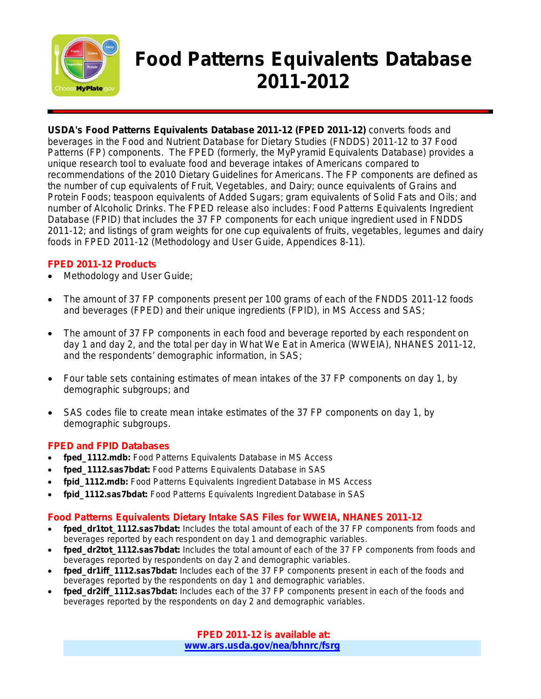

# **Food Patterns Equivalents Database 2011-2012**

**USDA's Food Patterns Equivalents Database 2011-12 (FPED 2011-12)** converts foods and beverages in the Food and Nutrient Database for Dietary Studies (FNDDS) 2011-12 to 37 Food Patterns (FP) components. The FPED (formerly, the MyPyramid Equivalents Database) provides a unique research tool to evaluate food and beverage intakes of Americans compared to recommendations of the 2010 Dietary Guidelines for Americans. The FP components are defined as the number of cup equivalents of Fruit, Vegetables, and Dairy; ounce equivalents of Grains and Protein Foods; teaspoon equivalents of Added Sugars; gram equivalents of Solid Fats and Oils; and number of Alcoholic Drinks. The FPED release also includes: Food Patterns Equivalents Ingredient Database (FPID) that includes the 37 FP components for each unique ingredient used in FNDDS 2011-12; and listings of gram weights for one cup equivalents of fruits, vegetables, legumes and dairy foods in FPED 2011-12 (Methodology and User Guide, Appendices 8-11).

### **FPED 2011-12 Products**

- Methodology and User Guide;
- The amount of 37 FP components present per 100 grams of each of the FNDDS 2011-12 foods and beverages (FPED) and their unique ingredients (FPID), in MS Access and SAS;
- The amount of 37 FP components in each food and beverage reported by each respondent on day 1 and day 2, and the total per day in What We Eat in America (WWEIA), NHANES 2011-12, and the respondents' demographic information, in SAS;
- Four table sets containing estimates of mean intakes of the 37 FP components on day 1, by demographic subgroups; and
- SAS codes file to create mean intake estimates of the 37 FP components on day 1, by demographic subgroups.

#### **FPED and FPID Databases**

- **fped\_1112.mdb:** Food Patterns Equivalents Database in MS Access
- **fped\_1112.sas7bdat:** Food Patterns Equivalents Database in SAS
- **fpid\_1112.mdb:** Food Patterns Equivalents Ingredient Database in MS Access
- **fpid\_1112.sas7bdat:** Food Patterns Equivalents Ingredient Database in SAS

#### **Food Patterns Equivalents Dietary Intake SAS Files for WWEIA, NHANES 2011-12**

- fped dr1tot 1112.sas7bdat: Includes the total amount of each of the 37 FP components from foods and beverages reported by each respondent on day 1 and demographic variables.
- fped dr2tot 1112.sas7bdat: Includes the total amount of each of the 37 FP components from foods and beverages reported by respondents on day 2 and demographic variables.
- fped dr1iff 1112.sas7bdat: Includes each of the 37 FP components present in each of the foods and beverages reported by the respondents on day 1 and demographic variables.
- fped dr2iff 1112.sas7bdat: Includes each of the 37 FP components present in each of the foods and beverages reported by the respondents on day 2 and demographic variables.

**FPED 2011-12 is available at: [www.ars.usda.gov/nea/bhnrc/fsrg](http://www.ars.usda.gov/nea/bhnrc/fsrg)**